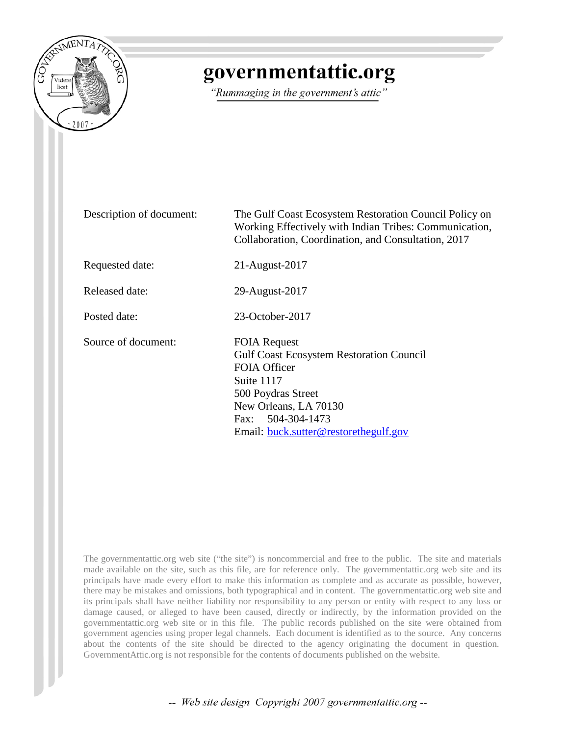

### governmentattic.org

"Rummaging in the government's attic"

Description of document: The Gulf Coast Ecosystem Restoration Council Policy on Working Effectively with Indian Tribes: Communication, Collaboration, Coordination, and Consultation, 2017

Requested date: 21-August-2017

Released date: 29-August-2017

Posted date: 23-October-2017

Source of document: FOIA Request

Gulf Coast Ecosystem Restoration Council FOIA Officer Suite 1117 500 Poydras Street New Orleans, LA 70130 Fax: 504-304-1473 Email: [buck.sutter@restorethegulf.g](mailto:larc-dl-foia@mail.nasa.gov)ov

The governmentattic.org web site ("the site") is noncommercial and free to the public. The site and materials made available on the site, such as this file, are for reference only. The governmentattic.org web site and its principals have made every effort to make this information as complete and as accurate as possible, however, there may be mistakes and omissions, both typographical and in content. The governmentattic.org web site and its principals shall have neither liability nor responsibility to any person or entity with respect to any loss or damage caused, or alleged to have been caused, directly or indirectly, by the information provided on the governmentattic.org web site or in this file. The public records published on the site were obtained from government agencies using proper legal channels. Each document is identified as to the source. Any concerns about the contents of the site should be directed to the agency originating the document in question. GovernmentAttic.org is not responsible for the contents of documents published on the website.

-- Web site design Copyright 2007 governmentattic.org --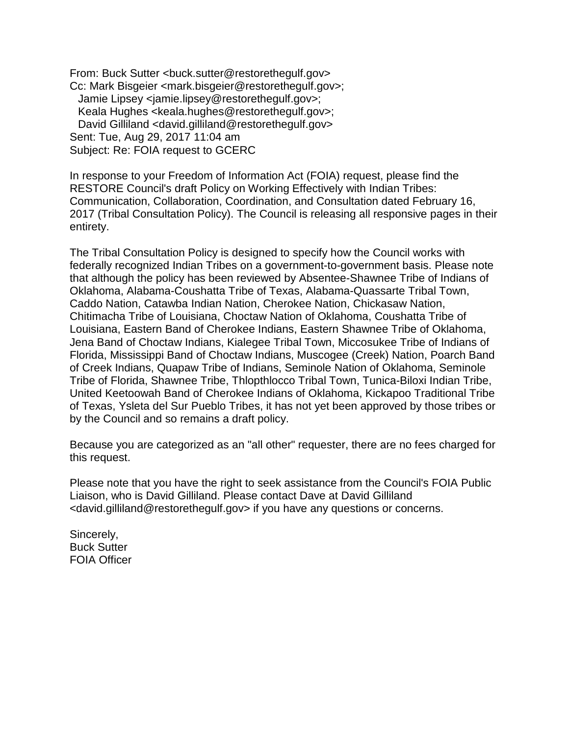From: Buck Sutter <buck.sutter@restorethegulf.gov> Cc: Mark Bisgeier <mark.bisgeier@restorethegulf.gov>; Jamie Lipsey <jamie.lipsey@restorethegulf.gov>; Keala Hughes <keala.hughes@restorethegulf.gov>; David Gilliland <david.gilliland@restorethegulf.gov> Sent: Tue, Aug 29, 2017 11:04 am Subject: Re: FOIA request to GCERC

In response to your Freedom of Information Act (FOIA) request, please find the RESTORE Council's draft Policy on Working Effectively with Indian Tribes: Communication, Collaboration, Coordination, and Consultation dated February 16, 2017 (Tribal Consultation Policy). The Council is releasing all responsive pages in their entirety.

The Tribal Consultation Policy is designed to specify how the Council works with federally recognized Indian Tribes on a government-to-government basis. Please note that although the policy has been reviewed by Absentee-Shawnee Tribe of Indians of Oklahoma, Alabama-Coushatta Tribe of Texas, Alabama-Quassarte Tribal Town, Caddo Nation, Catawba Indian Nation, Cherokee Nation, Chickasaw Nation, Chitimacha Tribe of Louisiana, Choctaw Nation of Oklahoma, Coushatta Tribe of Louisiana, Eastern Band of Cherokee Indians, Eastern Shawnee Tribe of Oklahoma, Jena Band of Choctaw Indians, Kialegee Tribal Town, Miccosukee Tribe of Indians of Florida, Mississippi Band of Choctaw Indians, Muscogee (Creek) Nation, Poarch Band of Creek Indians, Quapaw Tribe of Indians, Seminole Nation of Oklahoma, Seminole Tribe of Florida, Shawnee Tribe, Thlopthlocco Tribal Town, Tunica-Biloxi Indian Tribe, United Keetoowah Band of Cherokee Indians of Oklahoma, Kickapoo Traditional Tribe of Texas, Ysleta del Sur Pueblo Tribes, it has not yet been approved by those tribes or by the Council and so remains a draft policy.

Because you are categorized as an "all other" requester, there are no fees charged for this request.

Please note that you have the right to seek assistance from the Council's FOIA Public Liaison, who is David Gilliland. Please contact Dave at David Gilliland <david.gilliland@restorethegulf.gov> if you have any questions or concerns.

Sincerely, Buck Sutter FOIA Officer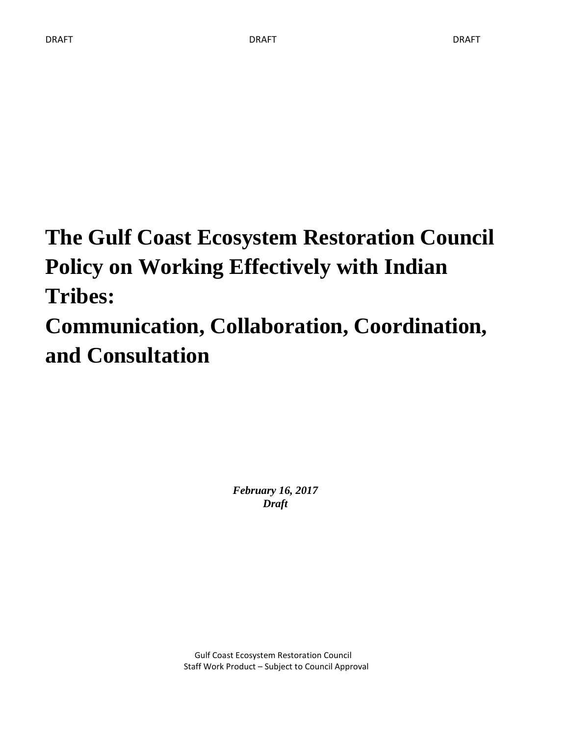## **The Gulf Coast Ecosystem Restoration Council Policy on Working Effectively with Indian Tribes: Communication, Collaboration, Coordination,**

# **and Consultation**

*February 16, 2017 Draft*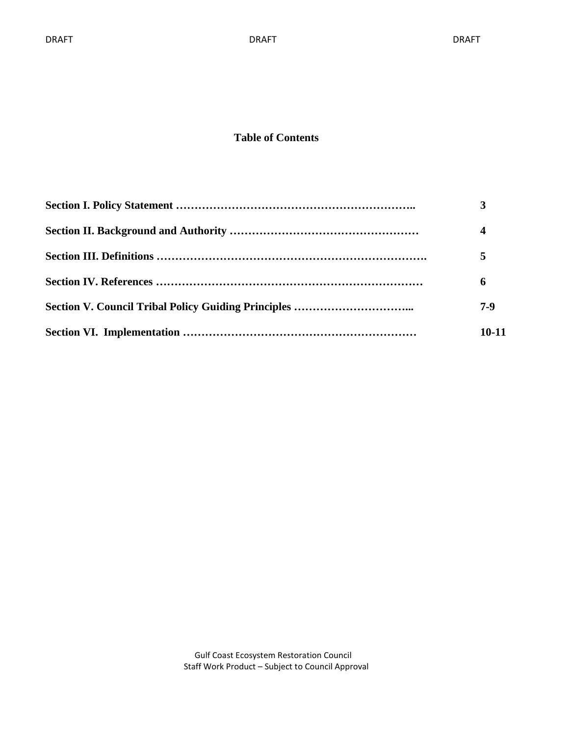#### **Table of Contents**

| 4         |
|-----------|
| 5         |
| 6         |
| 7-9       |
| $10 - 11$ |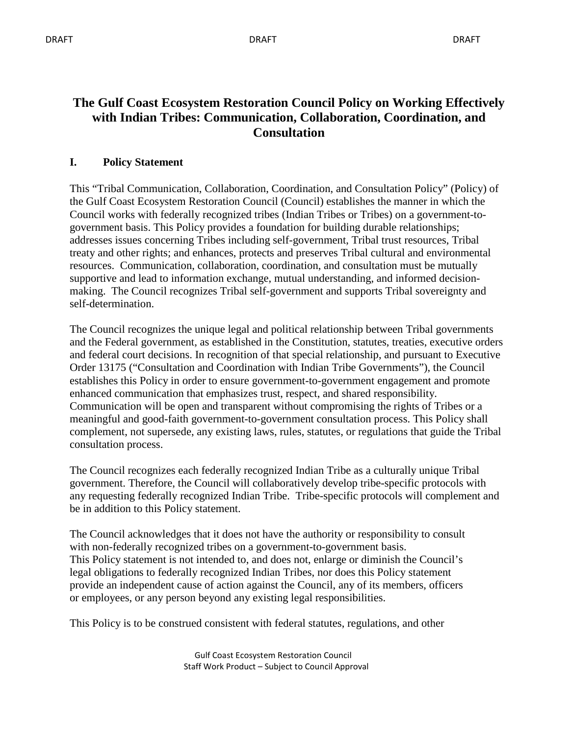#### **The Gulf Coast Ecosystem Restoration Council Policy on Working Effectively with Indian Tribes: Communication, Collaboration, Coordination, and Consultation**

#### **I. Policy Statement**

This "Tribal Communication, Collaboration, Coordination, and Consultation Policy" (Policy) of the Gulf Coast Ecosystem Restoration Council (Council) establishes the manner in which the Council works with federally recognized tribes (Indian Tribes or Tribes) on a government-togovernment basis. This Policy provides a foundation for building durable relationships; addresses issues concerning Tribes including self-government, Tribal trust resources, Tribal treaty and other rights; and enhances, protects and preserves Tribal cultural and environmental resources. Communication, collaboration, coordination, and consultation must be mutually supportive and lead to information exchange, mutual understanding, and informed decisionmaking. The Council recognizes Tribal self-government and supports Tribal sovereignty and self-determination.

The Council recognizes the unique legal and political relationship between Tribal governments and the Federal government, as established in the Constitution, statutes, treaties, executive orders and federal court decisions. In recognition of that special relationship, and pursuant to Executive Order 13175 ("Consultation and Coordination with Indian Tribe Governments"), the Council establishes this Policy in order to ensure government-to-government engagement and promote enhanced communication that emphasizes trust, respect, and shared responsibility. Communication will be open and transparent without compromising the rights of Tribes or a meaningful and good-faith government-to-government consultation process. This Policy shall complement, not supersede, any existing laws, rules, statutes, or regulations that guide the Tribal consultation process.

The Council recognizes each federally recognized Indian Tribe as a culturally unique Tribal government. Therefore, the Council will collaboratively develop tribe-specific protocols with any requesting federally recognized Indian Tribe. Tribe-specific protocols will complement and be in addition to this Policy statement.

The Council acknowledges that it does not have the authority or responsibility to consult with non-federally recognized tribes on a government-to-government basis. This Policy statement is not intended to, and does not, enlarge or diminish the Council's legal obligations to federally recognized Indian Tribes, nor does this Policy statement provide an independent cause of action against the Council, any of its members, officers or employees, or any person beyond any existing legal responsibilities.

This Policy is to be construed consistent with federal statutes, regulations, and other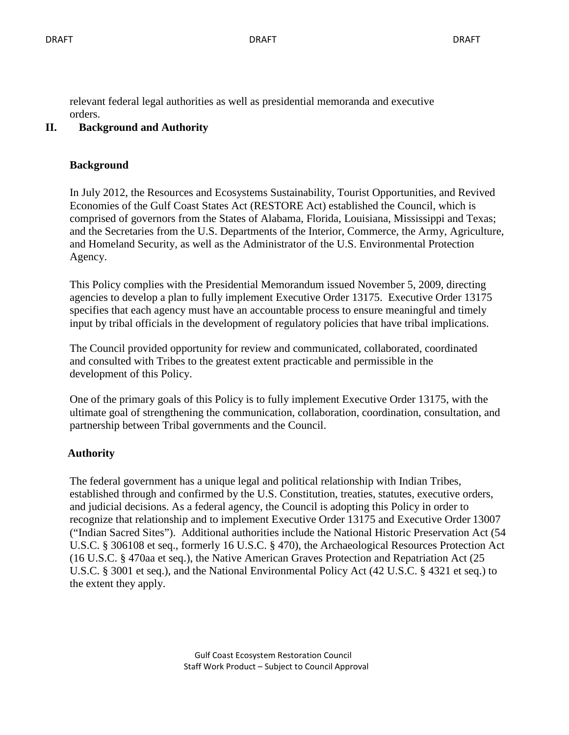relevant federal legal authorities as well as presidential memoranda and executive orders.

#### **II. Background and Authority**

#### **Background**

In July 2012, the Resources and Ecosystems Sustainability, Tourist Opportunities, and Revived Economies of the Gulf Coast States Act (RESTORE Act) established the Council, which is comprised of governors from the States of Alabama, Florida, Louisiana, Mississippi and Texas; and the Secretaries from the U.S. Departments of the Interior, Commerce, the Army, Agriculture, and Homeland Security, as well as the Administrator of the U.S. Environmental Protection Agency.

This Policy complies with the Presidential Memorandum issued November 5, 2009, directing agencies to develop a plan to fully implement Executive Order 13175. Executive Order 13175 specifies that each agency must have an accountable process to ensure meaningful and timely input by tribal officials in the development of regulatory policies that have tribal implications.

The Council provided opportunity for review and communicated, collaborated, coordinated and consulted with Tribes to the greatest extent practicable and permissible in the development of this Policy.

One of the primary goals of this Policy is to fully implement Executive Order 13175, with the ultimate goal of strengthening the communication, collaboration, coordination, consultation, and partnership between Tribal governments and the Council.

#### **Authority**

The federal government has a unique legal and political relationship with Indian Tribes, established through and confirmed by the U.S. Constitution, treaties, statutes, executive orders, and judicial decisions. As a federal agency, the Council is adopting this Policy in order to recognize that relationship and to implement Executive Order 13175 and Executive Order 13007 ("Indian Sacred Sites"). Additional authorities include the National Historic Preservation Act (54 U.S.C. § 306108 et seq., formerly 16 U.S.C. § 470), the Archaeological Resources Protection Act (16 U.S.C. § 470aa et seq.), the Native American Graves Protection and Repatriation Act (25 U.S.C. § 3001 et seq.), and the National Environmental Policy Act (42 U.S.C. § 4321 et seq.) to the extent they apply.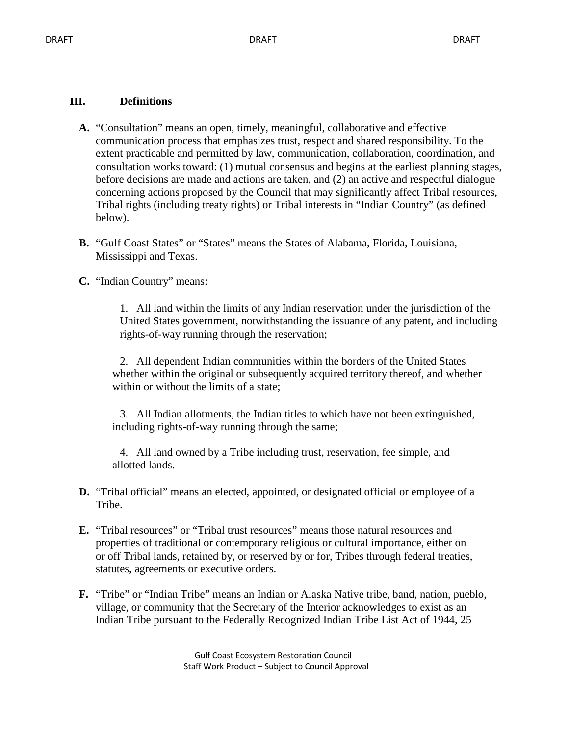#### **III. Definitions**

- **A.** "Consultation" means an open, timely, meaningful, collaborative and effective communication process that emphasizes trust, respect and shared responsibility. To the extent practicable and permitted by law, communication, collaboration, coordination, and consultation works toward: (1) mutual consensus and begins at the earliest planning stages, before decisions are made and actions are taken, and (2) an active and respectful dialogue concerning actions proposed by the Council that may significantly affect Tribal resources, Tribal rights (including treaty rights) or Tribal interests in "Indian Country" (as defined below).
- **B.** "Gulf Coast States" or "States" means the States of Alabama, Florida, Louisiana, Mississippi and Texas.

#### **C.** "Indian Country" means:

1. All land within the limits of any Indian reservation under the jurisdiction of the United States government, notwithstanding the issuance of any patent, and including rights-of-way running through the reservation;

2. All dependent Indian communities within the borders of the United States whether within the original or subsequently acquired territory thereof, and whether within or without the limits of a state:

3. All Indian allotments, the Indian titles to which have not been extinguished, including rights-of-way running through the same;

4. All land owned by a Tribe including trust, reservation, fee simple, and allotted lands.

- **D.** "Tribal official" means an elected, appointed, or designated official or employee of a Tribe.
- **E.** "Tribal resources" or "Tribal trust resources" means those natural resources and properties of traditional or contemporary religious or cultural importance, either on or off Tribal lands, retained by, or reserved by or for, Tribes through federal treaties, statutes, agreements or executive orders.
- **F.** "Tribe" or "Indian Tribe" means an Indian or Alaska Native tribe, band, nation, pueblo, village, or community that the Secretary of the Interior acknowledges to exist as an Indian Tribe pursuant to the Federally Recognized Indian Tribe List Act of 1944, 25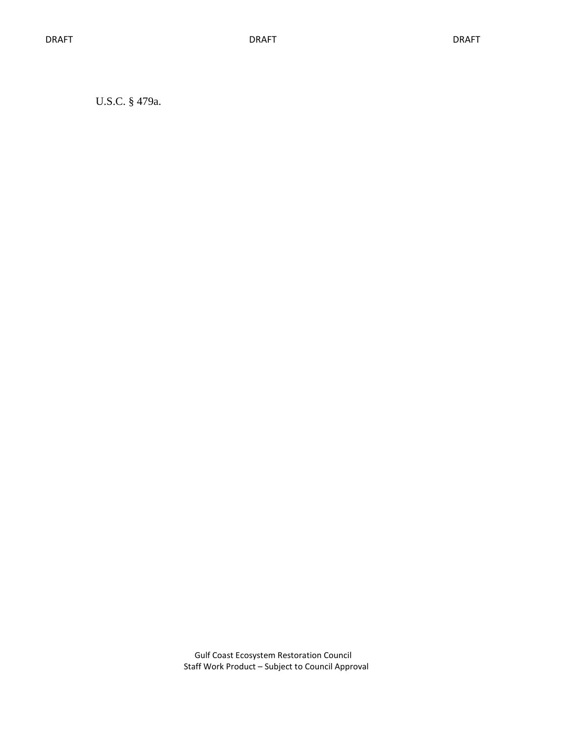U.S.C. § 479a.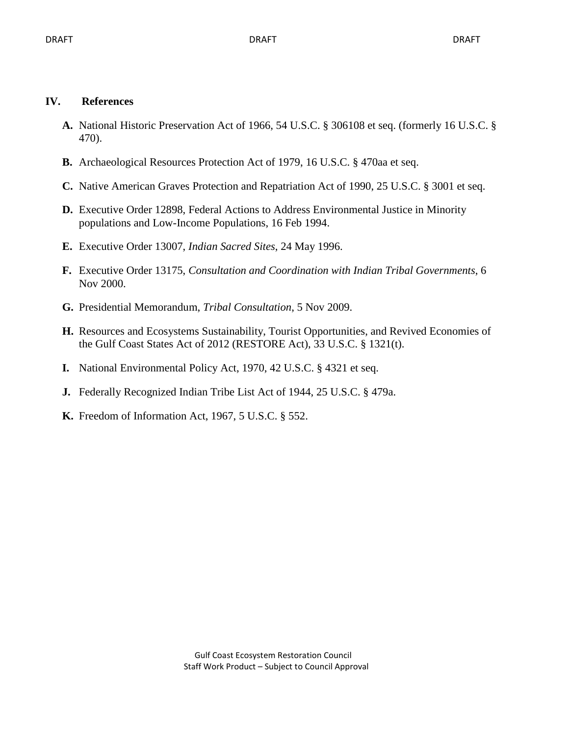#### **IV. References**

- **A.** National Historic Preservation Act of 1966, 54 U.S.C. § 306108 et seq. (formerly 16 U.S.C. § 470).
- **B.** Archaeological Resources Protection Act of 1979, 16 U.S.C. § 470aa et seq.
- **C.** Native American Graves Protection and Repatriation Act of 1990, 25 U.S.C. § 3001 et seq.
- **D.** Executive Order 12898, Federal Actions to Address Environmental Justice in Minority populations and Low-Income Populations, 16 Feb 1994.
- **E.** Executive Order 13007, *Indian Sacred Sites*, 24 May 1996.
- **F.** Executive Order 13175, *Consultation and Coordination with Indian Tribal Governments*, 6 Nov 2000.
- **G.** Presidential Memorandum, *Tribal Consultation*, 5 Nov 2009.
- **H.** Resources and Ecosystems Sustainability, Tourist Opportunities, and Revived Economies of the Gulf Coast States Act of 2012 (RESTORE Act), 33 U.S.C. § 1321(t).
- **I.** National Environmental Policy Act, 1970, 42 U.S.C. § 4321 et seq.
- **J.** Federally Recognized Indian Tribe List Act of 1944, 25 U.S.C. § 479a.
- **K.** Freedom of Information Act, 1967, 5 U.S.C. § 552.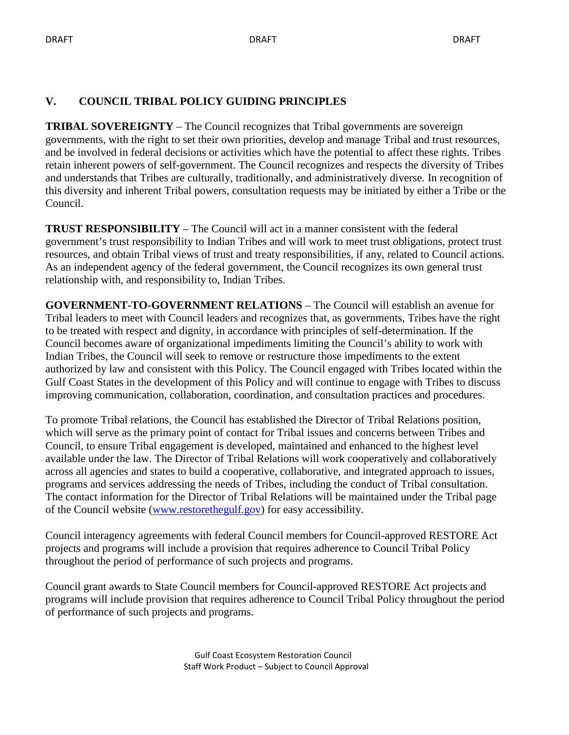#### **V. COUNCIL TRIBAL POLICY GUIDING PRINCIPLES**

**TRIBAL SOVEREIGNTY** – The Council recognizes that Tribal governments are sovereign governments, with the right to set their own priorities, develop and manage Tribal and trust resources, and be involved in federal decisions or activities which have the potential to affect these rights. Tribes retain inherent powers of self-government. The Council recognizes and respects the diversity of Tribes and understands that Tribes are culturally, traditionally, and administratively diverse. In recognition of this diversity and inherent Tribal powers, consultation requests may be initiated by either a Tribe or the Council.

**TRUST RESPONSIBILITY** – The Council will act in a manner consistent with the federal government's trust responsibility to Indian Tribes and will work to meet trust obligations, protect trust resources, and obtain Tribal views of trust and treaty responsibilities, if any, related to Council actions. As an independent agency of the federal government, the Council recognizes its own general trust relationship with, and responsibility to, Indian Tribes.

**GOVERNMENT-TO-GOVERNMENT RELATIONS** – The Council will establish an avenue for Tribal leaders to meet with Council leaders and recognizes that, as governments, Tribes have the right to be treated with respect and dignity, in accordance with principles of self-determination. If the Council becomes aware of organizational impediments limiting the Council's ability to work with Indian Tribes, the Council will seek to remove or restructure those impediments to the extent authorized by law and consistent with this Policy. The Council engaged with Tribes located within the Gulf Coast States in the development of this Policy and will continue to engage with Tribes to discuss improving communication, collaboration, coordination, and consultation practices and procedures.

To promote Tribal relations, the Council has established the Director of Tribal Relations position, which will serve as the primary point of contact for Tribal issues and concerns between Tribes and Council, to ensure Tribal engagement is developed, maintained and enhanced to the highest level available under the law. The Director of Tribal Relations will work cooperatively and collaboratively across all agencies and states to build a cooperative, collaborative, and integrated approach to issues, programs and services addressing the needs of Tribes, including the conduct of Tribal consultation. The contact information for the Director of Tribal Relations will be maintained under the Tribal page of the Council website [\(www.restorethegulf.gov\)](http://www.restorethegulf.gov/) for easy accessibility.

Council interagency agreements with federal Council members for Council-approved RESTORE Act projects and programs will include a provision that requires adherence to Council Tribal Policy throughout the period of performance of such projects and programs.

Council grant awards to State Council members for Council-approved RESTORE Act projects and programs will include provision that requires adherence to Council Tribal Policy throughout the period of performance of such projects and programs.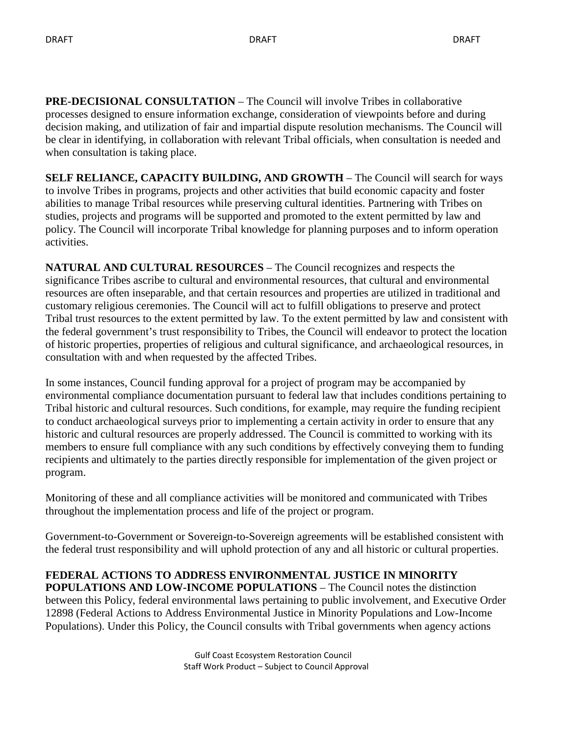**PRE-DECISIONAL CONSULTATION – The Council will involve Tribes in collaborative** processes designed to ensure information exchange, consideration of viewpoints before and during decision making, and utilization of fair and impartial dispute resolution mechanisms. The Council will be clear in identifying, in collaboration with relevant Tribal officials, when consultation is needed and when consultation is taking place.

**SELF RELIANCE, CAPACITY BUILDING, AND GROWTH** – The Council will search for ways to involve Tribes in programs, projects and other activities that build economic capacity and foster abilities to manage Tribal resources while preserving cultural identities. Partnering with Tribes on studies, projects and programs will be supported and promoted to the extent permitted by law and policy. The Council will incorporate Tribal knowledge for planning purposes and to inform operation activities.

**NATURAL AND CULTURAL RESOURCES** – The Council recognizes and respects the significance Tribes ascribe to cultural and environmental resources, that cultural and environmental resources are often inseparable, and that certain resources and properties are utilized in traditional and customary religious ceremonies. The Council will act to fulfill obligations to preserve and protect Tribal trust resources to the extent permitted by law. To the extent permitted by law and consistent with the federal government's trust responsibility to Tribes, the Council will endeavor to protect the location of historic properties, properties of religious and cultural significance, and archaeological resources, in consultation with and when requested by the affected Tribes.

In some instances, Council funding approval for a project of program may be accompanied by environmental compliance documentation pursuant to federal law that includes conditions pertaining to Tribal historic and cultural resources. Such conditions, for example, may require the funding recipient to conduct archaeological surveys prior to implementing a certain activity in order to ensure that any historic and cultural resources are properly addressed. The Council is committed to working with its members to ensure full compliance with any such conditions by effectively conveying them to funding recipients and ultimately to the parties directly responsible for implementation of the given project or program.

Monitoring of these and all compliance activities will be monitored and communicated with Tribes throughout the implementation process and life of the project or program.

Government-to-Government or Sovereign-to-Sovereign agreements will be established consistent with the federal trust responsibility and will uphold protection of any and all historic or cultural properties.

**FEDERAL ACTIONS TO ADDRESS ENVIRONMENTAL JUSTICE IN MINORITY POPULATIONS AND LOW-INCOME POPULATIONS** – The Council notes the distinction between this Policy, federal environmental laws pertaining to public involvement, and Executive Order 12898 (Federal Actions to Address Environmental Justice in Minority Populations and Low-Income Populations). Under this Policy, the Council consults with Tribal governments when agency actions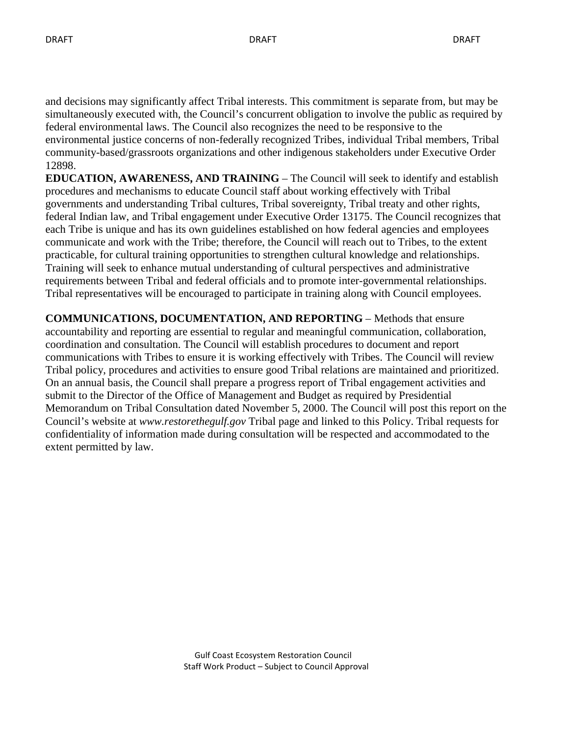and decisions may significantly affect Tribal interests. This commitment is separate from, but may be simultaneously executed with, the Council's concurrent obligation to involve the public as required by federal environmental laws. The Council also recognizes the need to be responsive to the environmental justice concerns of non-federally recognized Tribes, individual Tribal members, Tribal community-based/grassroots organizations and other indigenous stakeholders under Executive Order 12898.

**EDUCATION, AWARENESS, AND TRAINING** – The Council will seek to identify and establish procedures and mechanisms to educate Council staff about working effectively with Tribal governments and understanding Tribal cultures, Tribal sovereignty, Tribal treaty and other rights, federal Indian law, and Tribal engagement under Executive Order 13175. The Council recognizes that each Tribe is unique and has its own guidelines established on how federal agencies and employees communicate and work with the Tribe; therefore, the Council will reach out to Tribes, to the extent practicable, for cultural training opportunities to strengthen cultural knowledge and relationships. Training will seek to enhance mutual understanding of cultural perspectives and administrative requirements between Tribal and federal officials and to promote inter-governmental relationships. Tribal representatives will be encouraged to participate in training along with Council employees.

**COMMUNICATIONS, DOCUMENTATION, AND REPORTING** – Methods that ensure accountability and reporting are essential to regular and meaningful communication, collaboration, coordination and consultation. The Council will establish procedures to document and report communications with Tribes to ensure it is working effectively with Tribes. The Council will review Tribal policy, procedures and activities to ensure good Tribal relations are maintained and prioritized. On an annual basis, the Council shall prepare a progress report of Tribal engagement activities and submit to the Director of the Office of Management and Budget as required by Presidential Memorandum on Tribal Consultation dated November 5, 2000. The Council will post this report on the Council's website at *www.restorethegulf.gov* Tribal page and linked to this Policy. Tribal requests for confidentiality of information made during consultation will be respected and accommodated to the extent permitted by law.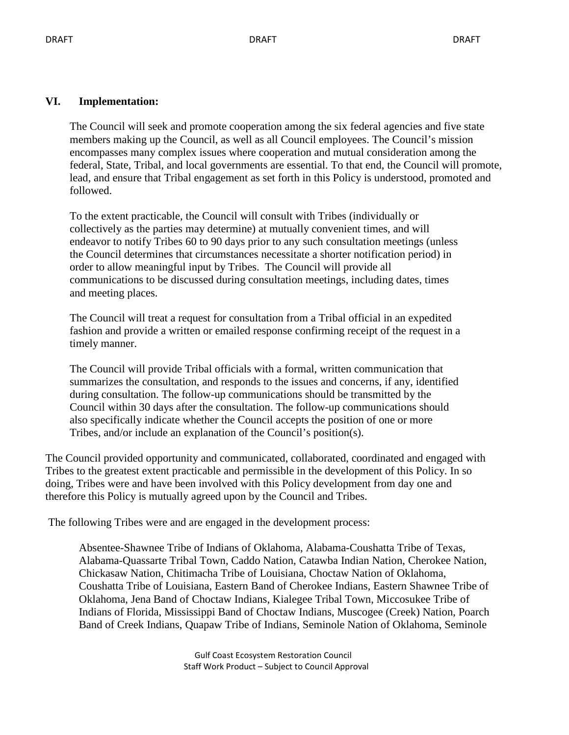#### **VI. Implementation:**

The Council will seek and promote cooperation among the six federal agencies and five state members making up the Council, as well as all Council employees. The Council's mission encompasses many complex issues where cooperation and mutual consideration among the federal, State, Tribal, and local governments are essential. To that end, the Council will promote, lead, and ensure that Tribal engagement as set forth in this Policy is understood, promoted and followed.

To the extent practicable, the Council will consult with Tribes (individually or collectively as the parties may determine) at mutually convenient times, and will endeavor to notify Tribes 60 to 90 days prior to any such consultation meetings (unless the Council determines that circumstances necessitate a shorter notification period) in order to allow meaningful input by Tribes. The Council will provide all communications to be discussed during consultation meetings, including dates, times and meeting places.

The Council will treat a request for consultation from a Tribal official in an expedited fashion and provide a written or emailed response confirming receipt of the request in a timely manner.

The Council will provide Tribal officials with a formal, written communication that summarizes the consultation, and responds to the issues and concerns, if any, identified during consultation. The follow-up communications should be transmitted by the Council within 30 days after the consultation. The follow-up communications should also specifically indicate whether the Council accepts the position of one or more Tribes, and/or include an explanation of the Council's position(s).

The Council provided opportunity and communicated, collaborated, coordinated and engaged with Tribes to the greatest extent practicable and permissible in the development of this Policy. In so doing, Tribes were and have been involved with this Policy development from day one and therefore this Policy is mutually agreed upon by the Council and Tribes.

The following Tribes were and are engaged in the development process:

Absentee-Shawnee Tribe of Indians of Oklahoma, Alabama-Coushatta Tribe of Texas, Alabama-Quassarte Tribal Town, Caddo Nation, Catawba Indian Nation, Cherokee Nation, Chickasaw Nation, Chitimacha Tribe of Louisiana, Choctaw Nation of Oklahoma, Coushatta Tribe of Louisiana, Eastern Band of Cherokee Indians, Eastern Shawnee Tribe of Oklahoma, Jena Band of Choctaw Indians, Kialegee Tribal Town, Miccosukee Tribe of Indians of Florida, Mississippi Band of Choctaw Indians, Muscogee (Creek) Nation, Poarch Band of Creek Indians, Quapaw Tribe of Indians, Seminole Nation of Oklahoma, Seminole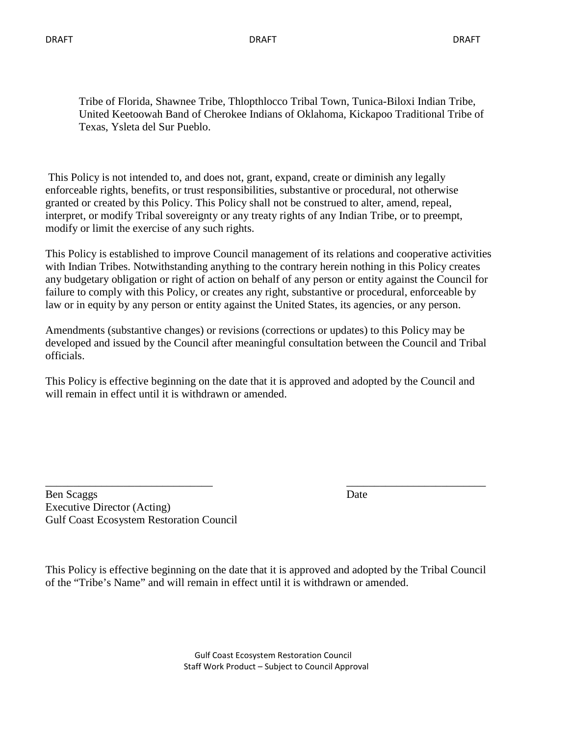Tribe of Florida, Shawnee Tribe, Thlopthlocco Tribal Town, Tunica-Biloxi Indian Tribe, United Keetoowah Band of Cherokee Indians of Oklahoma, Kickapoo Traditional Tribe of Texas, Ysleta del Sur Pueblo.

This Policy is not intended to, and does not, grant, expand, create or diminish any legally enforceable rights, benefits, or trust responsibilities, substantive or procedural, not otherwise granted or created by this Policy. This Policy shall not be construed to alter, amend, repeal, interpret, or modify Tribal sovereignty or any treaty rights of any Indian Tribe, or to preempt, modify or limit the exercise of any such rights.

This Policy is established to improve Council management of its relations and cooperative activities with Indian Tribes. Notwithstanding anything to the contrary herein nothing in this Policy creates any budgetary obligation or right of action on behalf of any person or entity against the Council for failure to comply with this Policy, or creates any right, substantive or procedural, enforceable by law or in equity by any person or entity against the United States, its agencies, or any person.

Amendments (substantive changes) or revisions (corrections or updates) to this Policy may be developed and issued by the Council after meaningful consultation between the Council and Tribal officials.

This Policy is effective beginning on the date that it is approved and adopted by the Council and will remain in effect until it is withdrawn or amended.

Ben Scaggs Date Executive Director (Acting) Gulf Coast Ecosystem Restoration Council

This Policy is effective beginning on the date that it is approved and adopted by the Tribal Council of the "Tribe's Name" and will remain in effect until it is withdrawn or amended.

\_\_\_\_\_\_\_\_\_\_\_\_\_\_\_\_\_\_\_\_\_\_\_\_\_\_\_\_\_\_ \_\_\_\_\_\_\_\_\_\_\_\_\_\_\_\_\_\_\_\_\_\_\_\_\_